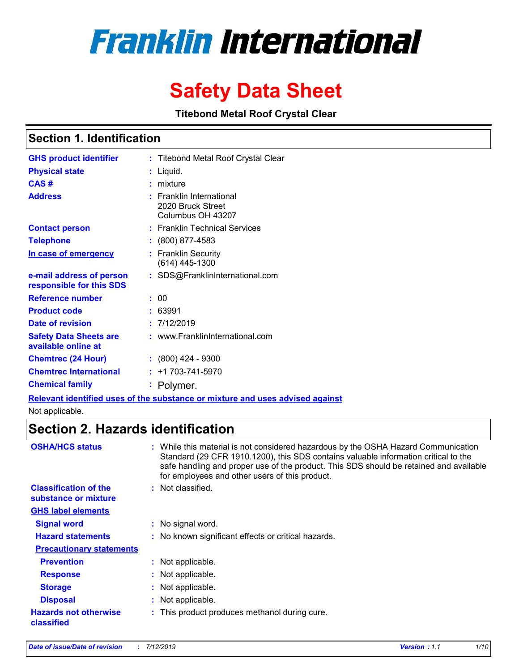# **Franklin International**

# **Safety Data Sheet**

**Titebond Metal Roof Crystal Clear**

# **Section 1. Identification**

| <b>GHS product identifier</b>                        | : Titebond Metal Roof Crystal Clear                                        |
|------------------------------------------------------|----------------------------------------------------------------------------|
| <b>Physical state</b>                                | Liquid.                                                                    |
| CAS#                                                 | mixture                                                                    |
| <b>Address</b>                                       | <b>Franklin International</b><br>2020 Bruck Street<br>Columbus OH 43207    |
| <b>Contact person</b>                                | : Franklin Technical Services                                              |
| <b>Telephone</b>                                     | (800) 877-4583                                                             |
| In case of emergency                                 | <b>Franklin Security</b><br>(614) 445-1300                                 |
| e-mail address of person<br>responsible for this SDS | : SDS@FranklinInternational.com                                            |
| <b>Reference number</b>                              | 00                                                                         |
| <b>Product code</b>                                  | 63991                                                                      |
| Date of revision                                     | : 7/12/2019                                                                |
| <b>Safety Data Sheets are</b><br>available online at | : www.FranklinInternational.com                                            |
| <b>Chemtrec (24 Hour)</b>                            | $: (800)$ 424 - 9300                                                       |
| <b>Chemtrec International</b>                        | $: +1703 - 741 - 5970$                                                     |
| <b>Chemical family</b>                               | : Polymer.                                                                 |
|                                                      | Polovant identified uses of the substance or mixture and uses advised agai |

**Relevant identified uses of the substance or mixture and uses advised against**

Not applicable.

# **Section 2. Hazards identification**

| <b>OSHA/HCS status</b>                               | : While this material is not considered hazardous by the OSHA Hazard Communication<br>Standard (29 CFR 1910.1200), this SDS contains valuable information critical to the<br>safe handling and proper use of the product. This SDS should be retained and available<br>for employees and other users of this product. |
|------------------------------------------------------|-----------------------------------------------------------------------------------------------------------------------------------------------------------------------------------------------------------------------------------------------------------------------------------------------------------------------|
| <b>Classification of the</b><br>substance or mixture | : Not classified.                                                                                                                                                                                                                                                                                                     |
| <b>GHS label elements</b>                            |                                                                                                                                                                                                                                                                                                                       |
| <b>Signal word</b>                                   | : No signal word.                                                                                                                                                                                                                                                                                                     |
| <b>Hazard statements</b>                             | : No known significant effects or critical hazards.                                                                                                                                                                                                                                                                   |
| <b>Precautionary statements</b>                      |                                                                                                                                                                                                                                                                                                                       |
| <b>Prevention</b>                                    | : Not applicable.                                                                                                                                                                                                                                                                                                     |
| <b>Response</b>                                      | : Not applicable.                                                                                                                                                                                                                                                                                                     |
| <b>Storage</b>                                       | : Not applicable.                                                                                                                                                                                                                                                                                                     |
| <b>Disposal</b>                                      | : Not applicable.                                                                                                                                                                                                                                                                                                     |
| <b>Hazards not otherwise</b><br>classified           | : This product produces methanol during cure.                                                                                                                                                                                                                                                                         |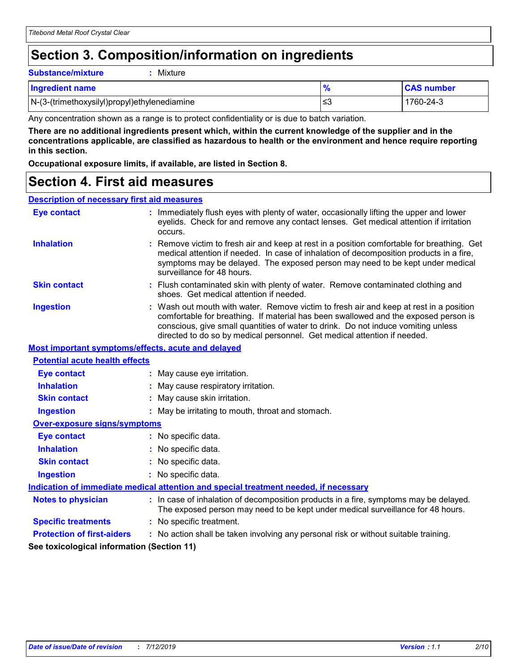# **Section 3. Composition/information on ingredients**

**Substance/mixture :** Mixture

| <b>Ingredient name</b>                       |    | <b>CAS number</b> |
|----------------------------------------------|----|-------------------|
| N-(3-(trimethoxysilyl)propyl)ethylenediamine | ≤3 | 1760-24-3         |

Any concentration shown as a range is to protect confidentiality or is due to batch variation.

**There are no additional ingredients present which, within the current knowledge of the supplier and in the concentrations applicable, are classified as hazardous to health or the environment and hence require reporting in this section.**

**Occupational exposure limits, if available, are listed in Section 8.**

# **Section 4. First aid measures**

#### **Description of necessary first aid measures**

| <b>Eye contact</b>                                 | : Immediately flush eyes with plenty of water, occasionally lifting the upper and lower<br>eyelids. Check for and remove any contact lenses. Get medical attention if irritation<br>occurs.                                                                                                                                                    |  |  |  |
|----------------------------------------------------|------------------------------------------------------------------------------------------------------------------------------------------------------------------------------------------------------------------------------------------------------------------------------------------------------------------------------------------------|--|--|--|
| <b>Inhalation</b>                                  | Remove victim to fresh air and keep at rest in a position comfortable for breathing. Get<br>medical attention if needed. In case of inhalation of decomposition products in a fire,<br>symptoms may be delayed. The exposed person may need to be kept under medical<br>surveillance for 48 hours.                                             |  |  |  |
| <b>Skin contact</b>                                | : Flush contaminated skin with plenty of water. Remove contaminated clothing and<br>shoes. Get medical attention if needed.                                                                                                                                                                                                                    |  |  |  |
| <b>Ingestion</b>                                   | : Wash out mouth with water. Remove victim to fresh air and keep at rest in a position<br>comfortable for breathing. If material has been swallowed and the exposed person is<br>conscious, give small quantities of water to drink. Do not induce vomiting unless<br>directed to do so by medical personnel. Get medical attention if needed. |  |  |  |
| Most important symptoms/effects, acute and delayed |                                                                                                                                                                                                                                                                                                                                                |  |  |  |
| <b>Potential acute health effects</b>              |                                                                                                                                                                                                                                                                                                                                                |  |  |  |
| <b>Eye contact</b>                                 | : May cause eye irritation.                                                                                                                                                                                                                                                                                                                    |  |  |  |
| <b>Inhalation</b>                                  | : May cause respiratory irritation.                                                                                                                                                                                                                                                                                                            |  |  |  |
| <b>Skin contact</b>                                | : May cause skin irritation.                                                                                                                                                                                                                                                                                                                   |  |  |  |
| <b>Ingestion</b>                                   | : May be irritating to mouth, throat and stomach.                                                                                                                                                                                                                                                                                              |  |  |  |
| <b>Over-exposure signs/symptoms</b>                |                                                                                                                                                                                                                                                                                                                                                |  |  |  |
| <b>Eye contact</b>                                 | : No specific data.                                                                                                                                                                                                                                                                                                                            |  |  |  |
| <b>Inhalation</b>                                  | : No specific data.                                                                                                                                                                                                                                                                                                                            |  |  |  |
| <b>Skin contact</b>                                | : No specific data.                                                                                                                                                                                                                                                                                                                            |  |  |  |
| <b>Ingestion</b>                                   | : No specific data.                                                                                                                                                                                                                                                                                                                            |  |  |  |
|                                                    | Indication of immediate medical attention and special treatment needed, if necessary                                                                                                                                                                                                                                                           |  |  |  |
| <b>Notes to physician</b>                          | : In case of inhalation of decomposition products in a fire, symptoms may be delayed.<br>The exposed person may need to be kept under medical surveillance for 48 hours.                                                                                                                                                                       |  |  |  |
| <b>Specific treatments</b>                         | : No specific treatment.                                                                                                                                                                                                                                                                                                                       |  |  |  |
| <b>Protection of first-aiders</b>                  | : No action shall be taken involving any personal risk or without suitable training.                                                                                                                                                                                                                                                           |  |  |  |
| See toxicological information (Section 11)         |                                                                                                                                                                                                                                                                                                                                                |  |  |  |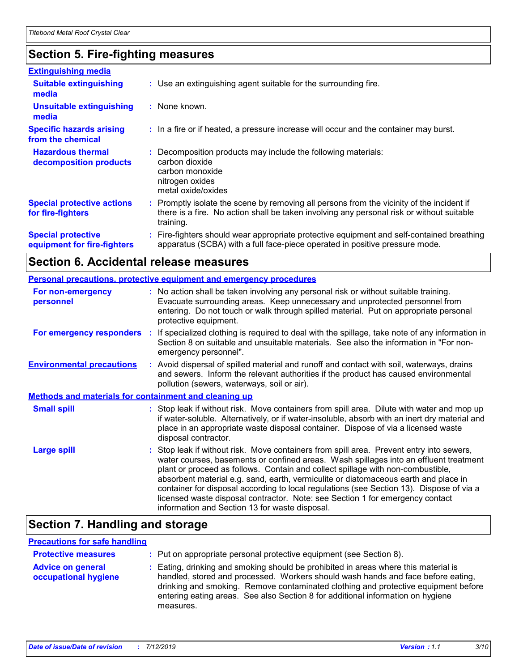# **Section 5. Fire-fighting measures**

| <b>Extinguishing media</b>                               |                                                                                                                                                                                                     |
|----------------------------------------------------------|-----------------------------------------------------------------------------------------------------------------------------------------------------------------------------------------------------|
| <b>Suitable extinguishing</b><br>media                   | : Use an extinguishing agent suitable for the surrounding fire.                                                                                                                                     |
| <b>Unsuitable extinguishing</b><br>media                 | : None known.                                                                                                                                                                                       |
| <b>Specific hazards arising</b><br>from the chemical     | : In a fire or if heated, a pressure increase will occur and the container may burst.                                                                                                               |
| <b>Hazardous thermal</b><br>decomposition products       | Decomposition products may include the following materials:<br>carbon dioxide<br>carbon monoxide<br>nitrogen oxides<br>metal oxide/oxides                                                           |
| <b>Special protective actions</b><br>for fire-fighters   | : Promptly isolate the scene by removing all persons from the vicinity of the incident if<br>there is a fire. No action shall be taken involving any personal risk or without suitable<br>training. |
| <b>Special protective</b><br>equipment for fire-fighters | : Fire-fighters should wear appropriate protective equipment and self-contained breathing<br>apparatus (SCBA) with a full face-piece operated in positive pressure mode.                            |

# **Section 6. Accidental release measures**

| <b>Personal precautions, protective equipment and emergency procedures</b> |  |                                                                                                                                                                                                                                                                                                                                                                                                                                                                                                                                                                                          |  |  |
|----------------------------------------------------------------------------|--|------------------------------------------------------------------------------------------------------------------------------------------------------------------------------------------------------------------------------------------------------------------------------------------------------------------------------------------------------------------------------------------------------------------------------------------------------------------------------------------------------------------------------------------------------------------------------------------|--|--|
| For non-emergency<br>personnel                                             |  | : No action shall be taken involving any personal risk or without suitable training.<br>Evacuate surrounding areas. Keep unnecessary and unprotected personnel from<br>entering. Do not touch or walk through spilled material. Put on appropriate personal<br>protective equipment.                                                                                                                                                                                                                                                                                                     |  |  |
|                                                                            |  | For emergency responders : If specialized clothing is required to deal with the spillage, take note of any information in<br>Section 8 on suitable and unsuitable materials. See also the information in "For non-<br>emergency personnel".                                                                                                                                                                                                                                                                                                                                              |  |  |
| <b>Environmental precautions</b>                                           |  | : Avoid dispersal of spilled material and runoff and contact with soil, waterways, drains<br>and sewers. Inform the relevant authorities if the product has caused environmental<br>pollution (sewers, waterways, soil or air).                                                                                                                                                                                                                                                                                                                                                          |  |  |
| <b>Methods and materials for containment and cleaning up</b>               |  |                                                                                                                                                                                                                                                                                                                                                                                                                                                                                                                                                                                          |  |  |
| <b>Small spill</b>                                                         |  | : Stop leak if without risk. Move containers from spill area. Dilute with water and mop up<br>if water-soluble. Alternatively, or if water-insoluble, absorb with an inert dry material and<br>place in an appropriate waste disposal container. Dispose of via a licensed waste<br>disposal contractor.                                                                                                                                                                                                                                                                                 |  |  |
| <b>Large spill</b>                                                         |  | Stop leak if without risk. Move containers from spill area. Prevent entry into sewers,<br>water courses, basements or confined areas. Wash spillages into an effluent treatment<br>plant or proceed as follows. Contain and collect spillage with non-combustible,<br>absorbent material e.g. sand, earth, vermiculite or diatomaceous earth and place in<br>container for disposal according to local regulations (see Section 13). Dispose of via a<br>licensed waste disposal contractor. Note: see Section 1 for emergency contact<br>information and Section 13 for waste disposal. |  |  |

# **Section 7. Handling and storage**

# **Precautions for safe handling**

| <b>Protective measures</b>                       | : Put on appropriate personal protective equipment (see Section 8).                                                                                                                                                                                                                                                                                           |
|--------------------------------------------------|---------------------------------------------------------------------------------------------------------------------------------------------------------------------------------------------------------------------------------------------------------------------------------------------------------------------------------------------------------------|
| <b>Advice on general</b><br>occupational hygiene | : Eating, drinking and smoking should be prohibited in areas where this material is<br>handled, stored and processed. Workers should wash hands and face before eating,<br>drinking and smoking. Remove contaminated clothing and protective equipment before<br>entering eating areas. See also Section 8 for additional information on hygiene<br>measures. |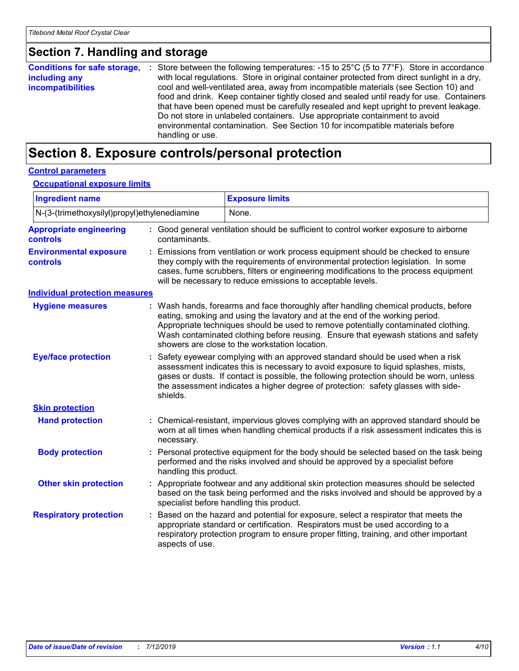# **Section 7. Handling and storage**

|                          | <b>Conditions for safe storage, :</b> Store between the following temperatures: -15 to 25°C (5 to 77°F). Store in accordance |
|--------------------------|------------------------------------------------------------------------------------------------------------------------------|
| including any            | with local regulations. Store in original container protected from direct sunlight in a dry,                                 |
| <i>incompatibilities</i> | cool and well-ventilated area, away from incompatible materials (see Section 10) and                                         |
|                          | food and drink. Keep container tightly closed and sealed until ready for use. Containers                                     |
|                          | that have been opened must be carefully resealed and kept upright to prevent leakage.                                        |
|                          | Do not store in unlabeled containers. Use appropriate containment to avoid                                                   |
|                          | environmental contamination. See Section 10 for incompatible materials before<br>handling or use.                            |

# **Section 8. Exposure controls/personal protection**

#### **Control parameters**

#### **Occupational exposure limits**

| <b>Ingredient name</b>                            |  |                                                                                                                                                                                                                                                                                                                                                                    | <b>Exposure limits</b>                                                                                                                                                                                                                                                                                                                                                                            |  |  |
|---------------------------------------------------|--|--------------------------------------------------------------------------------------------------------------------------------------------------------------------------------------------------------------------------------------------------------------------------------------------------------------------------------------------------------------------|---------------------------------------------------------------------------------------------------------------------------------------------------------------------------------------------------------------------------------------------------------------------------------------------------------------------------------------------------------------------------------------------------|--|--|
| N-(3-(trimethoxysilyl)propyl)ethylenediamine      |  |                                                                                                                                                                                                                                                                                                                                                                    | None.                                                                                                                                                                                                                                                                                                                                                                                             |  |  |
| <b>Appropriate engineering</b><br><b>controls</b> |  | contaminants.                                                                                                                                                                                                                                                                                                                                                      | : Good general ventilation should be sufficient to control worker exposure to airborne                                                                                                                                                                                                                                                                                                            |  |  |
| <b>Environmental exposure</b><br><b>controls</b>  |  |                                                                                                                                                                                                                                                                                                                                                                    | Emissions from ventilation or work process equipment should be checked to ensure<br>they comply with the requirements of environmental protection legislation. In some<br>cases, fume scrubbers, filters or engineering modifications to the process equipment<br>will be necessary to reduce emissions to acceptable levels.                                                                     |  |  |
| <b>Individual protection measures</b>             |  |                                                                                                                                                                                                                                                                                                                                                                    |                                                                                                                                                                                                                                                                                                                                                                                                   |  |  |
| <b>Hygiene measures</b>                           |  |                                                                                                                                                                                                                                                                                                                                                                    | : Wash hands, forearms and face thoroughly after handling chemical products, before<br>eating, smoking and using the lavatory and at the end of the working period.<br>Appropriate techniques should be used to remove potentially contaminated clothing.<br>Wash contaminated clothing before reusing. Ensure that eyewash stations and safety<br>showers are close to the workstation location. |  |  |
| <b>Eye/face protection</b>                        |  | : Safety eyewear complying with an approved standard should be used when a risk<br>assessment indicates this is necessary to avoid exposure to liquid splashes, mists,<br>gases or dusts. If contact is possible, the following protection should be worn, unless<br>the assessment indicates a higher degree of protection: safety glasses with side-<br>shields. |                                                                                                                                                                                                                                                                                                                                                                                                   |  |  |
| <b>Skin protection</b>                            |  |                                                                                                                                                                                                                                                                                                                                                                    |                                                                                                                                                                                                                                                                                                                                                                                                   |  |  |
| <b>Hand protection</b>                            |  | necessary.                                                                                                                                                                                                                                                                                                                                                         | : Chemical-resistant, impervious gloves complying with an approved standard should be<br>worn at all times when handling chemical products if a risk assessment indicates this is                                                                                                                                                                                                                 |  |  |
| <b>Body protection</b>                            |  | Personal protective equipment for the body should be selected based on the task being<br>performed and the risks involved and should be approved by a specialist before<br>handling this product.                                                                                                                                                                  |                                                                                                                                                                                                                                                                                                                                                                                                   |  |  |
| <b>Other skin protection</b>                      |  | Appropriate footwear and any additional skin protection measures should be selected<br>based on the task being performed and the risks involved and should be approved by a<br>specialist before handling this product.                                                                                                                                            |                                                                                                                                                                                                                                                                                                                                                                                                   |  |  |
| <b>Respiratory protection</b>                     |  | aspects of use.                                                                                                                                                                                                                                                                                                                                                    | Based on the hazard and potential for exposure, select a respirator that meets the<br>appropriate standard or certification. Respirators must be used according to a<br>respiratory protection program to ensure proper fitting, training, and other important                                                                                                                                    |  |  |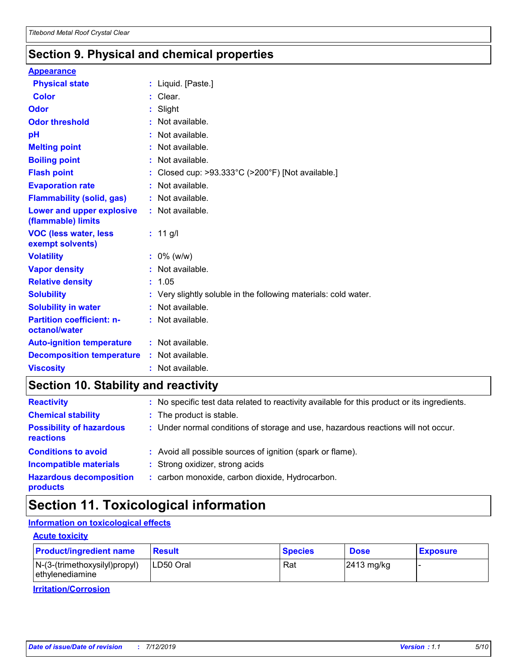# **Section 9. Physical and chemical properties**

#### **Appearance**

| <b>Physical state</b>                             | : Liquid. $[Paste.]$                                                 |
|---------------------------------------------------|----------------------------------------------------------------------|
| Color                                             | $:$ Clear.                                                           |
| Odor                                              | $:$ Slight                                                           |
| <b>Odor threshold</b>                             | Not available.                                                       |
| рH                                                | : Not available.                                                     |
| <b>Melting point</b>                              | : Not available.                                                     |
| <b>Boiling point</b>                              | : Not available.                                                     |
| <b>Flash point</b>                                | Closed cup: $>93.333^{\circ}$ C ( $>200^{\circ}$ F) [Not available.] |
| <b>Evaporation rate</b>                           | Not available.                                                       |
| <b>Flammability (solid, gas)</b>                  | $:$ Not available.                                                   |
| Lower and upper explosive<br>(flammable) limits   | : Not available.                                                     |
| <b>VOC (less water, less</b><br>exempt solvents)  | : $11$ g/l                                                           |
| <b>Volatility</b>                                 | $: 0\%$ (w/w)                                                        |
| <b>Vapor density</b>                              | Not available.                                                       |
| <b>Relative density</b>                           | : 1.05                                                               |
| <b>Solubility</b>                                 | : Very slightly soluble in the following materials: cold water.      |
| <b>Solubility in water</b>                        | : Not available.                                                     |
| <b>Partition coefficient: n-</b><br>octanol/water | : Not available.                                                     |
| <b>Auto-ignition temperature</b>                  | : Not available.                                                     |
| <b>Decomposition temperature</b>                  | : Not available.                                                     |
| <b>Viscosity</b>                                  | : Not available.                                                     |

# **Section 10. Stability and reactivity**

| <b>Reactivity</b>                            | : No specific test data related to reactivity available for this product or its ingredients. |
|----------------------------------------------|----------------------------------------------------------------------------------------------|
| <b>Chemical stability</b>                    | : The product is stable.                                                                     |
| <b>Possibility of hazardous</b><br>reactions | : Under normal conditions of storage and use, hazardous reactions will not occur.            |
| <b>Conditions to avoid</b>                   | : Avoid all possible sources of ignition (spark or flame).                                   |
| <b>Incompatible materials</b>                | : Strong oxidizer, strong acids                                                              |
| <b>Hazardous decomposition</b><br>products   | : carbon monoxide, carbon dioxide, Hydrocarbon.                                              |

# **Section 11. Toxicological information**

# **Information on toxicological effects**

#### **Acute toxicity**

| <b>Product/ingredient name</b>                     | <b>Result</b> | <b>Species</b> | <b>Dose</b>            | <b>Exposure</b> |
|----------------------------------------------------|---------------|----------------|------------------------|-----------------|
| $N-(3-(trimethoxysilyl)propyl)$<br>ethylenediamine | ILD50 Oral    | Rat            | $ 2413 \text{ mg/kg} $ |                 |

**Irritation/Corrosion**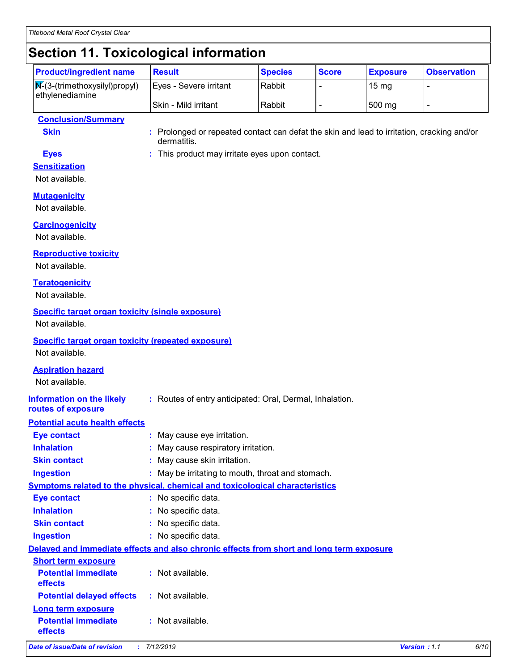# **Section 11. Toxicological information**

| POOGLOII III I OANGOLOGIOMI IIIIOIIIIMAIOII                                           |                        |                |              |                 |                    |
|---------------------------------------------------------------------------------------|------------------------|----------------|--------------|-----------------|--------------------|
| <b>Product/ingredient name</b>                                                        | <b>Result</b>          | <b>Species</b> | <b>Score</b> | <b>Exposure</b> | <b>Observation</b> |
| $\sqrt{\mathsf{N}^2(3\cdot(\text{trimethoxysilyl})\text{propyl})}$<br>ethylenediamine | Eyes - Severe irritant | Rabbit         |              | $15 \text{ mg}$ |                    |
|                                                                                       | l Skin - Mild irritant | Rabbit         |              | 500 mg          |                    |

#### **Conclusion/Summary**

**Skin :** Prolonged or repeated contact can defat the skin and lead to irritation, cracking and/or dermatitis.

- 
- **Eyes :** This product may irritate eyes upon contact.

#### **Sensitization** Not available.

### **Mutagenicity**

Not available.

#### **Carcinogenicity**

Not available.

#### **Reproductive toxicity**

Not available.

### **Teratogenicity**

Not available.

### **Specific target organ toxicity (single exposure)**

Not available.

# **Specific target organ toxicity (repeated exposure)**

Not available.

#### **Aspiration hazard**

Not available.

**routes of exposure**

#### **Information on the likely :** Routes of entry anticipated: Oral, Dermal, Inhalation.

# **Potential acute health effects**

| <b>Eye contact</b>                    | : May cause eye irritation.                                                              |
|---------------------------------------|------------------------------------------------------------------------------------------|
| <b>Inhalation</b>                     | : May cause respiratory irritation.                                                      |
| <b>Skin contact</b>                   | : May cause skin irritation.                                                             |
| <b>Ingestion</b>                      | : May be irritating to mouth, throat and stomach.                                        |
|                                       | <b>Symptoms related to the physical, chemical and toxicological characteristics</b>      |
| <b>Eye contact</b>                    | : No specific data.                                                                      |
| <b>Inhalation</b>                     | : No specific data.                                                                      |
| <b>Skin contact</b>                   | : No specific data.                                                                      |
| <b>Ingestion</b>                      | : No specific data.                                                                      |
|                                       | Delayed and immediate effects and also chronic effects from short and long term exposure |
| <b>Short term exposure</b>            |                                                                                          |
| <b>Potential immediate</b><br>effects | $:$ Not available.                                                                       |
| <b>Potential delayed effects</b>      | : Not available.                                                                         |
| <b>Long term exposure</b>             |                                                                                          |
| <b>Potential immediate</b><br>effects | $:$ Not available.                                                                       |

#### *Date of issue/Date of revision* **:** *7/12/2019 Version : 1.1 6/10*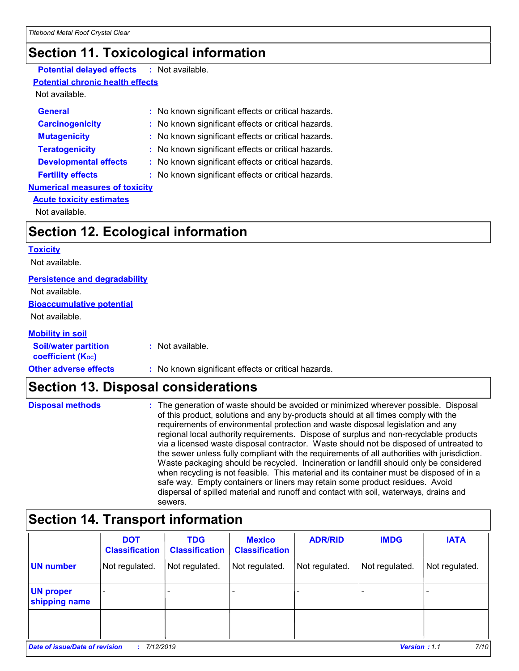# **Section 11. Toxicological information**

# **Potential delayed effects :** Not available.

### **Potential chronic health effects**

Not available.

| <b>General</b>                        | : No known significant effects or critical hazards. |
|---------------------------------------|-----------------------------------------------------|
| <b>Carcinogenicity</b>                | : No known significant effects or critical hazards. |
| <b>Mutagenicity</b>                   | : No known significant effects or critical hazards. |
| <b>Teratogenicity</b>                 | : No known significant effects or critical hazards. |
| <b>Developmental effects</b>          | : No known significant effects or critical hazards. |
| <b>Fertility effects</b>              | : No known significant effects or critical hazards. |
| <b>Numerical measures of toxicity</b> |                                                     |
| <b>Acute toxicity estimates</b>       |                                                     |

Not available.

# **Section 12. Ecological information**

**Toxicity**

Not available.

### **Persistence and degradability**

**Bioaccumulative potential** Not available.

Not available.

#### **Mobility in soil**

| <b>Soil/water partition</b><br>coefficient (K <sub>oc</sub> ) | : Not available.                                    |
|---------------------------------------------------------------|-----------------------------------------------------|
| <b>Other adverse effects</b>                                  | : No known significant effects or critical hazards. |

# **Section 13. Disposal considerations**

| <b>Disposal methods</b> | : The generation of waste should be avoided or minimized wherever possible. Disposal<br>of this product, solutions and any by-products should at all times comply with the<br>requirements of environmental protection and waste disposal legislation and any<br>regional local authority requirements. Dispose of surplus and non-recyclable products<br>via a licensed waste disposal contractor. Waste should not be disposed of untreated to<br>the sewer unless fully compliant with the requirements of all authorities with jurisdiction.<br>Waste packaging should be recycled. Incineration or landfill should only be considered |
|-------------------------|--------------------------------------------------------------------------------------------------------------------------------------------------------------------------------------------------------------------------------------------------------------------------------------------------------------------------------------------------------------------------------------------------------------------------------------------------------------------------------------------------------------------------------------------------------------------------------------------------------------------------------------------|
|                         | when recycling is not feasible. This material and its container must be disposed of in a<br>safe way. Empty containers or liners may retain some product residues. Avoid<br>dispersal of spilled material and runoff and contact with soil, waterways, drains and<br>sewers.                                                                                                                                                                                                                                                                                                                                                               |

# **Section 14. Transport information**

|                                   | <b>DOT</b><br><b>Classification</b> | <b>TDG</b><br><b>Classification</b> | <b>Mexico</b><br><b>Classification</b> | <b>ADR/RID</b> | <b>IMDG</b>         | <b>IATA</b>    |
|-----------------------------------|-------------------------------------|-------------------------------------|----------------------------------------|----------------|---------------------|----------------|
| <b>UN number</b>                  | Not regulated.                      | Not regulated.                      | Not regulated.                         | Not regulated. | Not regulated.      | Not regulated. |
| <b>UN proper</b><br>shipping name |                                     |                                     |                                        |                |                     |                |
|                                   |                                     |                                     |                                        |                |                     |                |
| Date of issue/Date of revision    | 7/12/2019                           |                                     |                                        |                | <b>Version: 1.1</b> | 7/10           |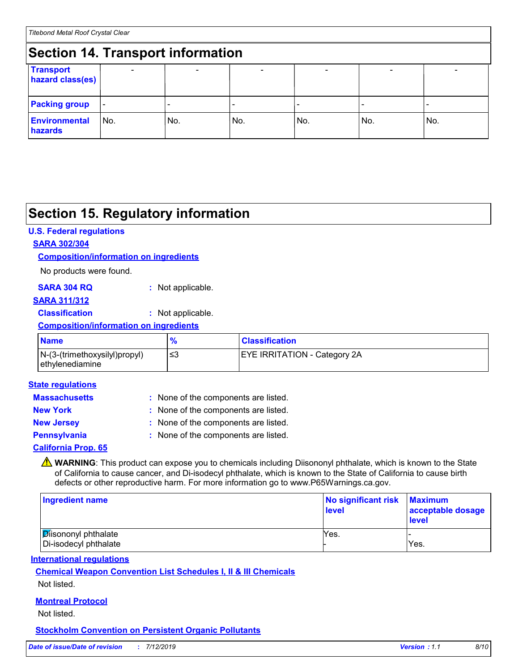#### **Section 14. Transport information** - - - - - - **Transport hazard class(es) Packing group Environmental hazards** No. No. No. - No. - No. - No.

# **Section 15. Regulatory information**

# **U.S. Federal regulations**

# **SARA 302/304**

#### **Composition/information on ingredients**

No products were found.

| <b>SARA 304 RQ</b> | : Not applicable. |
|--------------------|-------------------|
|--------------------|-------------------|

#### **SARA 311/312**

**Classification :** Not applicable.

### **Composition/information on ingredients**

| <b>Name</b>                                      | $\mathbf{o}$ | <b>Classification</b>               |
|--------------------------------------------------|--------------|-------------------------------------|
| N-(3-(trimethoxysilyl)propyl)<br>ethylenediamine | ≲3           | <b>EYE IRRITATION - Category 2A</b> |

#### **State regulations**

| <b>Massachusetts</b>       | : None of the components are listed. |
|----------------------------|--------------------------------------|
| <b>New York</b>            | : None of the components are listed. |
| <b>New Jersey</b>          | : None of the components are listed. |
| <b>Pennsylvania</b>        | : None of the components are listed. |
| <b>California Prop. 65</b> |                                      |

**A** WARNING: This product can expose you to chemicals including Diisononyl phthalate, which is known to the State of California to cause cancer, and Di-isodecyl phthalate, which is known to the State of California to cause birth defects or other reproductive harm. For more information go to www.P65Warnings.ca.gov.

| Ingredient name                                     | No significant risk<br><b>level</b> | <b>Maximum</b><br>acceptable dosage<br>level |
|-----------------------------------------------------|-------------------------------------|----------------------------------------------|
| <b>Disononyl phthalate</b><br>Di-isodecyl phthalate | Yes.                                | Yes.                                         |

# **International regulations**

# **Chemical Weapon Convention List Schedules I, II & III Chemicals**

Not listed.

# **Montreal Protocol**

Not listed.

#### **Stockholm Convention on Persistent Organic Pollutants**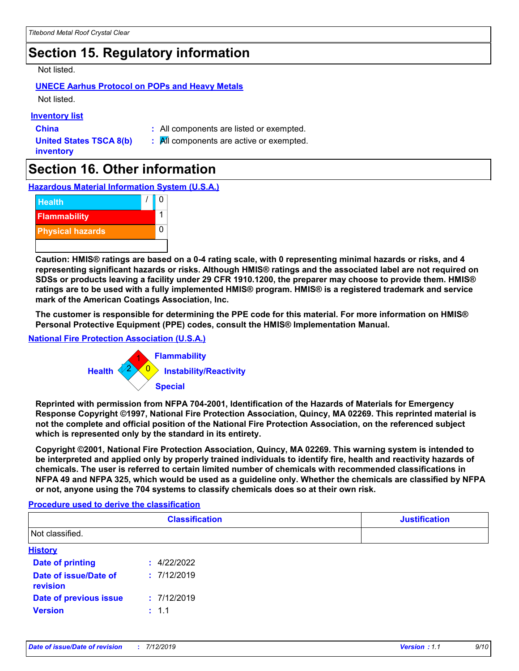# **Section 15. Regulatory information**

Not listed.

### **UNECE Aarhus Protocol on POPs and Heavy Metals**

Not listed.

#### **Inventory list**

**China :** All components are listed or exempted.

**United States TSCA 8(b) inventory**

**:** All components are active or exempted.

# **Section 16. Other information**

**Hazardous Material Information System (U.S.A.)**



**Caution: HMIS® ratings are based on a 0-4 rating scale, with 0 representing minimal hazards or risks, and 4 representing significant hazards or risks. Although HMIS® ratings and the associated label are not required on SDSs or products leaving a facility under 29 CFR 1910.1200, the preparer may choose to provide them. HMIS® ratings are to be used with a fully implemented HMIS® program. HMIS® is a registered trademark and service mark of the American Coatings Association, Inc.**

**The customer is responsible for determining the PPE code for this material. For more information on HMIS® Personal Protective Equipment (PPE) codes, consult the HMIS® Implementation Manual.**

# **National Fire Protection Association (U.S.A.)**



**Reprinted with permission from NFPA 704-2001, Identification of the Hazards of Materials for Emergency Response Copyright ©1997, National Fire Protection Association, Quincy, MA 02269. This reprinted material is not the complete and official position of the National Fire Protection Association, on the referenced subject which is represented only by the standard in its entirety.**

**Copyright ©2001, National Fire Protection Association, Quincy, MA 02269. This warning system is intended to be interpreted and applied only by properly trained individuals to identify fire, health and reactivity hazards of chemicals. The user is referred to certain limited number of chemicals with recommended classifications in NFPA 49 and NFPA 325, which would be used as a guideline only. Whether the chemicals are classified by NFPA or not, anyone using the 704 systems to classify chemicals does so at their own risk.**

#### **Procedure used to derive the classification**

|                                   | <b>Classification</b> | <b>Justification</b> |
|-----------------------------------|-----------------------|----------------------|
| Not classified.                   |                       |                      |
| <b>History</b>                    |                       |                      |
| <b>Date of printing</b>           | : 4/22/2022           |                      |
| Date of issue/Date of<br>revision | : 7/12/2019           |                      |
| <b>Date of previous issue</b>     | : 7/12/2019           |                      |
| <b>Version</b>                    | : 1.1                 |                      |